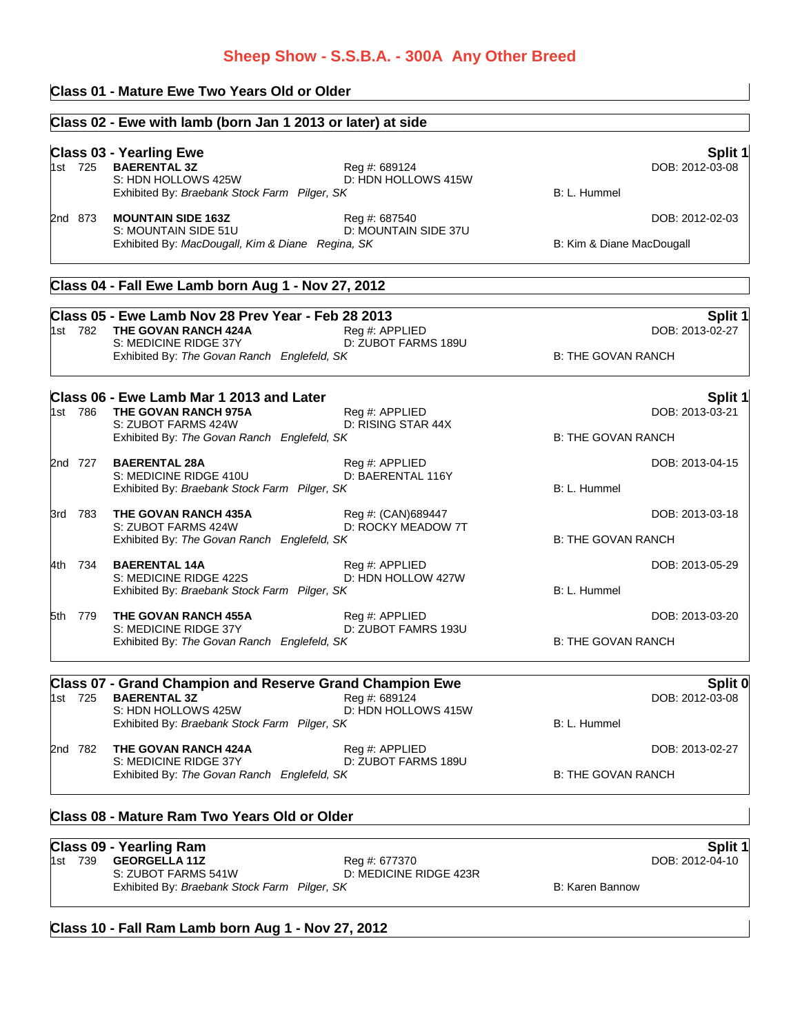# **Sheep Show - S.S.B.A. - 300A Any Other Breed**

# **Class 01 - Mature Ewe Two Years Old or Older**

|         | Class 02 - Ewe with lamb (born Jan 1 2013 or later) at side                                                                                        |                                          |                           |                            |
|---------|----------------------------------------------------------------------------------------------------------------------------------------------------|------------------------------------------|---------------------------|----------------------------|
| 1st 725 | <b>Class 03 - Yearling Ewe</b><br><b>BAERENTAL 3Z</b><br>S: HDN HOLLOWS 425W<br>Exhibited By: Braebank Stock Farm Pilger, SK                       | Reg #: 689124<br>D: HDN HOLLOWS 415W     | B: L. Hummel              | Split 1<br>DOB: 2012-03-08 |
| 2nd 873 | <b>MOUNTAIN SIDE 163Z</b><br>S: MOUNTAIN SIDE 51U<br>Exhibited By: MacDougall, Kim & Diane Regina, SK                                              | Reg #: 687540<br>D: MOUNTAIN SIDE 37U    | B: Kim & Diane MacDougall | DOB: 2012-02-03            |
|         | Class 04 - Fall Ewe Lamb born Aug 1 - Nov 27, 2012                                                                                                 |                                          |                           |                            |
| 1st 782 | Class 05 - Ewe Lamb Nov 28 Prev Year - Feb 28 2013<br>THE GOVAN RANCH 424A<br>S: MEDICINE RIDGE 37Y<br>Exhibited By: The Govan Ranch Englefeld, SK | Reg #: APPLIED<br>D: ZUBOT FARMS 189U    | <b>B: THE GOVAN RANCH</b> | Split 1<br>DOB: 2013-02-27 |
| 1st 786 | Class 06 - Ewe Lamb Mar 1 2013 and Later<br>THE GOVAN RANCH 975A                                                                                   | Reg #: APPLIED                           |                           | Split 1<br>DOB: 2013-03-21 |
|         | S: ZUBOT FARMS 424W<br>Exhibited By: The Govan Ranch Englefeld, SK                                                                                 | D: RISING STAR 44X                       | <b>B: THE GOVAN RANCH</b> |                            |
| 2nd 727 | <b>BAERENTAL 28A</b><br>S: MEDICINE RIDGE 410U<br>Exhibited By: Braebank Stock Farm Pilger, SK                                                     | Reg #: APPLIED<br>D: BAERENTAL 116Y      | B: L. Hummel              | DOB: 2013-04-15            |
| 3rd 783 | THE GOVAN RANCH 435A<br>S: ZUBOT FARMS 424W<br>Exhibited By: The Govan Ranch Englefeld, SK                                                         | Reg #: (CAN)689447<br>D: ROCKY MEADOW 7T | <b>B: THE GOVAN RANCH</b> | DOB: 2013-03-18            |
| 4th 734 | <b>BAERENTAL 14A</b><br>S: MEDICINE RIDGE 422S<br>Exhibited By: Braebank Stock Farm Pilger, SK                                                     | Reg #: APPLIED<br>D: HDN HOLLOW 427W     | B: L. Hummel              | DOB: 2013-05-29            |
| 5th 779 | THE GOVAN RANCH 455A<br>S: MEDICINE RIDGE 37Y<br>Exhibited By: The Govan Ranch Englefeld, SK                                                       | Reg #: APPLIED<br>D: ZUBOT FAMRS 193U    | <b>B: THE GOVAN RANCH</b> | DOB: 2013-03-20            |
| 1st 725 | <b>Class 07 - Grand Champion and Reserve Grand Champion Ewe</b><br><b>BAERENTAL 3Z</b>                                                             | Reg #: 689124                            |                           | Split 0<br>DOB: 2012-03-08 |
|         | S: HDN HOLLOWS 425W<br>Exhibited By: Braebank Stock Farm Pilger, SK                                                                                | D: HDN HOLLOWS 415W                      | B: L. Hummel              |                            |
| 2nd 782 | THE GOVAN RANCH 424A<br>S: MEDICINE RIDGE 37Y                                                                                                      | Reg #: APPLIED<br>D: ZUBOT FARMS 189U    |                           | DOB: 2013-02-27            |
|         | Exhibited By: The Govan Ranch Englefeld, SK                                                                                                        |                                          | <b>B: THE GOVAN RANCH</b> |                            |

# **Class 08 - Mature Ram Two Years Old or Older**

### **Class 09 - Yearling Ram Split 1**

|  | 1st 739 <b>GEORGELLA 11Z</b>                 | Reg #: 677370          |                 | DOB: 2012-04-10 |
|--|----------------------------------------------|------------------------|-----------------|-----------------|
|  | S: ZUBOT FARMS 541W                          | D: MEDICINE RIDGE 423R |                 |                 |
|  | Exhibited By: Braebank Stock Farm Pilger, SK |                        | B: Karen Bannow |                 |

# **Class 10 - Fall Ram Lamb born Aug 1 - Nov 27, 2012**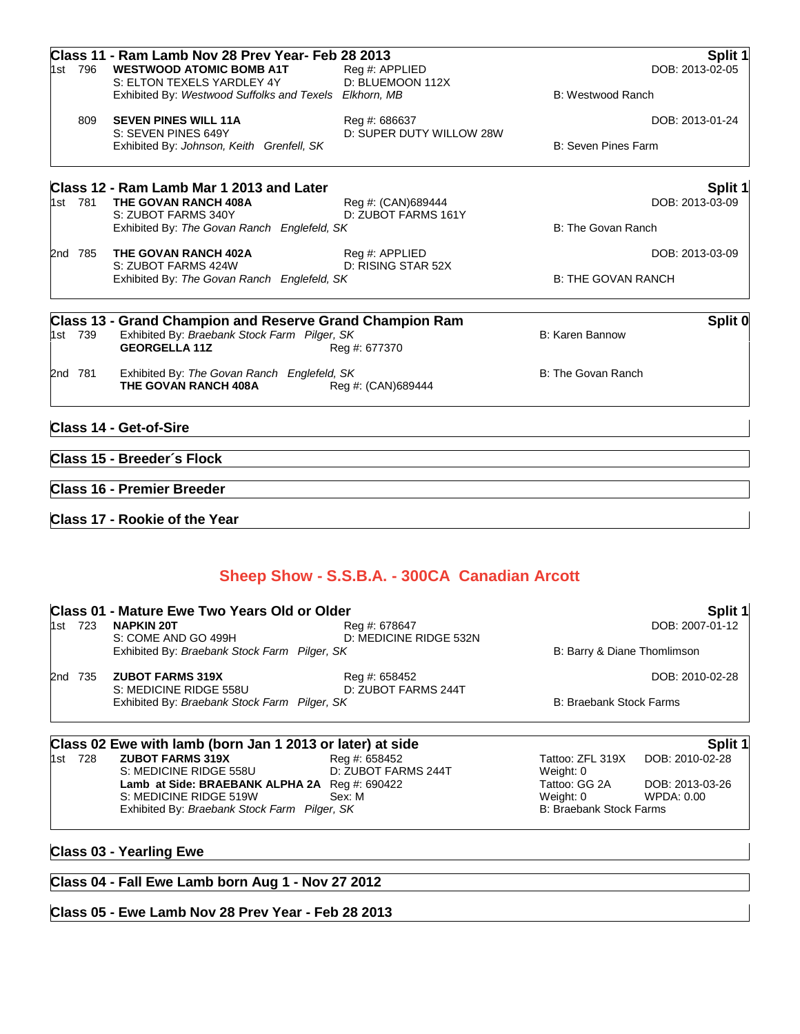|         | Class 11 - Ram Lamb Nov 28 Prev Year- Feb 28 2013               |                          |                           | Split 1         |
|---------|-----------------------------------------------------------------|--------------------------|---------------------------|-----------------|
| 1st 796 | <b>WESTWOOD ATOMIC BOMB A1T</b>                                 | Reg #: APPLIED           |                           | DOB: 2013-02-05 |
|         | S: ELTON TEXELS YARDLEY 4Y                                      | D: BLUEMOON 112X         |                           |                 |
|         | Exhibited By: Westwood Suffolks and Texels Elkhorn, MB          |                          | B: Westwood Ranch         |                 |
| 809     | <b>SEVEN PINES WILL 11A</b>                                     | Reg #: 686637            |                           | DOB: 2013-01-24 |
|         | S: SEVEN PINES 649Y                                             | D: SUPER DUTY WILLOW 28W |                           |                 |
|         | Exhibited By: Johnson, Keith Grenfell, SK                       |                          | B: Seven Pines Farm       |                 |
|         | Class 12 - Ram Lamb Mar 1 2013 and Later                        |                          |                           | Split 1         |
| 1st 781 | THE GOVAN RANCH 408A                                            | Reg #: (CAN)689444       |                           | DOB: 2013-03-09 |
|         | S: ZUBOT FARMS 340Y                                             | D: ZUBOT FARMS 161Y      |                           |                 |
|         | Exhibited By: The Govan Ranch Englefeld, SK                     |                          | B: The Govan Ranch        |                 |
| 2nd 785 | THE GOVAN RANCH 402A                                            | Reg #: APPLIED           |                           | DOB: 2013-03-09 |
|         | S: ZUBOT FARMS 424W                                             | D: RISING STAR 52X       |                           |                 |
|         | Exhibited By: The Govan Ranch Englefeld, SK                     |                          | <b>B: THE GOVAN RANCH</b> |                 |
|         | <b>Class 13 - Grand Champion and Reserve Grand Champion Ram</b> |                          |                           | Split 0         |
| 1st 739 | Exhibited By: Braebank Stock Farm Pilger, SK                    |                          | B: Karen Bannow           |                 |
|         | <b>GEORGELLA 11Z</b>                                            | Reg #: 677370            |                           |                 |
| 2nd 781 | Exhibited By: The Govan Ranch Englefeld, SK                     |                          | B: The Govan Ranch        |                 |
|         | THE GOVAN RANCH 408A                                            | Reg #: (CAN)689444       |                           |                 |
|         | <b>Class 14 - Get-of-Sire</b>                                   |                          |                           |                 |
|         |                                                                 |                          |                           |                 |
|         | Class 15 - Breeder's Flock                                      |                          |                           |                 |
|         | <b>Class 16 - Premier Breeder</b>                               |                          |                           |                 |
|         |                                                                 |                          |                           |                 |

**Class 17 - Rookie of the Year**

# **Sheep Show - S.S.B.A. - 300CA Canadian Arcott**

|                         |                                               | Split 1                                                                                                                                                                                                                                                    |
|-------------------------|-----------------------------------------------|------------------------------------------------------------------------------------------------------------------------------------------------------------------------------------------------------------------------------------------------------------|
| <b>NAPKIN 20T</b>       | Reg #: 678647                                 | DOB: 2007-01-12                                                                                                                                                                                                                                            |
|                         |                                               | B: Barry & Diane Thomlimson                                                                                                                                                                                                                                |
| <b>ZUBOT FARMS 319X</b> | Reg #: 658452                                 | DOB: 2010-02-28                                                                                                                                                                                                                                            |
|                         |                                               | <b>B: Braebank Stock Farms</b>                                                                                                                                                                                                                             |
|                         |                                               | Split 1                                                                                                                                                                                                                                                    |
|                         | S: COME AND GO 499H<br>S: MEDICINE RIDGE 558U | Class 01 - Mature Ewe Two Years Old or Older<br>D: MEDICINE RIDGE 532N<br>Exhibited By: Braebank Stock Farm Pilger, SK<br>D: ZUBOT FARMS 244T<br>Exhibited By: Braebank Stock Farm Pilger, SK<br>Class 02 Ewe with lamb (born Jan 1 2013 or later) at side |

| 1st | 728 | <b>ZUBOT FARMS 319X</b>                                   | Reg #: 658452       |
|-----|-----|-----------------------------------------------------------|---------------------|
|     |     | S: MEDICINE RIDGE 558U                                    | D: ZUBOT FARMS 244T |
|     |     | Lamb at Side: BRAEBANK ALPHA 2A $\text{Reg } \#$ : 690422 |                     |
|     |     | S: MEDICINE RIDGE 519W                                    | Sex: M              |
|     |     | Exhibited By: Braebank Stock Farm Pilger, SK              |                     |

# **Class 03 - Yearling Ewe**

# **Class 04 - Fall Ewe Lamb born Aug 1 - Nov 27 2012**

# **Class 05 - Ewe Lamb Nov 28 Prev Year - Feb 28 2013**

Tattoo: ZFL 319X DOB: 2010-02-28 Weight: 0 **Lattoo: GG 2A DOB: 2013-03-26<br>
WPDA: 0.00<br>
WPDA: 0.00** WPDA: 0.00 B: Braebank Stock Farms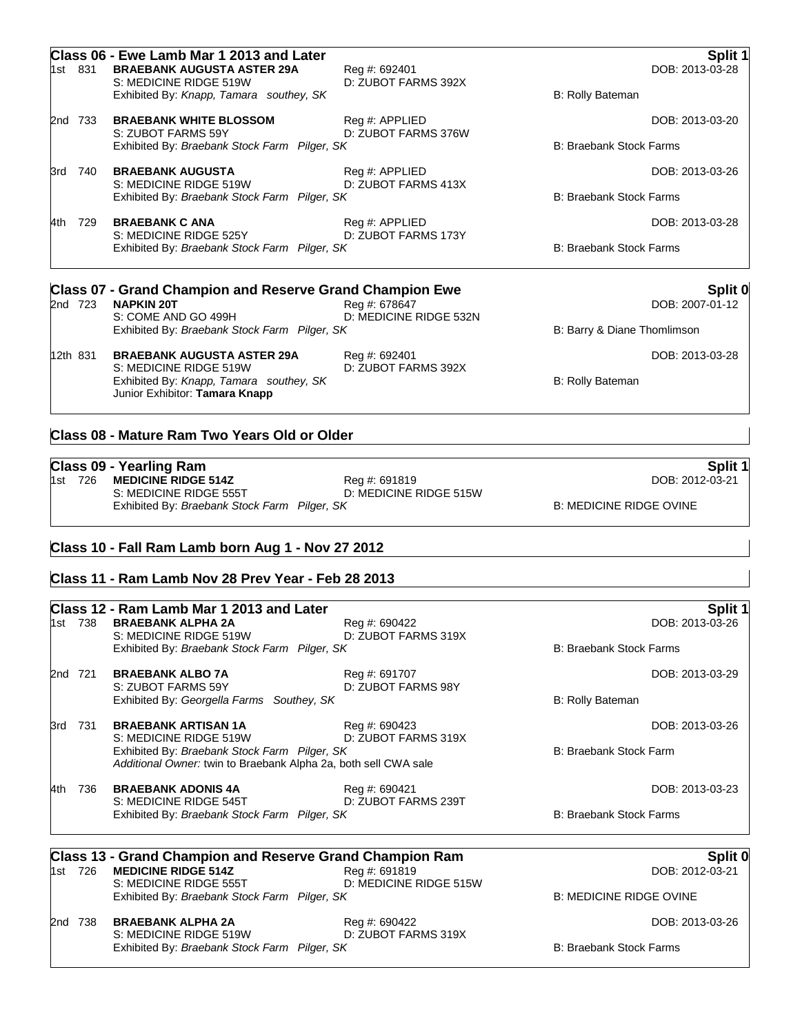|     | 1st 831                                      | Class 06 - Ewe Lamb Mar 1 2013 and Later<br><b>BRAEBANK AUGUSTA ASTER 29A</b><br>S: MEDICINE RIDGE 519W<br>Exhibited By: Knapp, Tamara southey, SK | Reg #: 692401<br>D: ZUBOT FARMS 392X    | B: Rolly Bateman               | Split 1<br>DOB: 2013-03-28  |
|-----|----------------------------------------------|----------------------------------------------------------------------------------------------------------------------------------------------------|-----------------------------------------|--------------------------------|-----------------------------|
| 2nd | 733                                          | <b>BRAEBANK WHITE BLOSSOM</b><br>S: ZUBOT FARMS 59Y                                                                                                | Reg #: APPLIED<br>D: ZUBOT FARMS 376W   |                                | DOB: 2013-03-20             |
|     |                                              | Exhibited By: Braebank Stock Farm Pilger, SK                                                                                                       |                                         | <b>B: Braebank Stock Farms</b> |                             |
| 3rd | 740                                          | <b>BRAEBANK AUGUSTA</b><br>S: MEDICINE RIDGE 519W                                                                                                  | Reg #: APPLIED<br>D: ZUBOT FARMS 413X   |                                | DOB: 2013-03-26             |
|     |                                              | Exhibited By: Braebank Stock Farm Pilger, SK                                                                                                       |                                         | <b>B: Braebank Stock Farms</b> |                             |
| 4th | 729                                          | <b>BRAEBANK C ANA</b><br>S: MEDICINE RIDGE 525Y                                                                                                    | Reg #: APPLIED<br>D: ZUBOT FARMS 173Y   |                                | DOB: 2013-03-28             |
|     |                                              | Exhibited By: Braebank Stock Farm Pilger, SK                                                                                                       |                                         | <b>B: Braebank Stock Farms</b> |                             |
|     |                                              | <b>Class 07 - Grand Champion and Reserve Grand Champion Ewe</b>                                                                                    |                                         |                                | Split 0                     |
|     | 2nd 723                                      | <b>NAPKIN 20T</b><br>S: COME AND GO 499H                                                                                                           | Reg #: 678647<br>D: MEDICINE RIDGE 532N |                                | DOB: 2007-01-12             |
|     | Exhibited By: Braebank Stock Farm Pilger, SK |                                                                                                                                                    |                                         |                                | B: Barry & Diane Thomlimson |
|     | 12th 831                                     | <b>BRAEBANK AUGUSTA ASTER 29A</b><br>S: MEDICINE RIDGE 519W                                                                                        | Reg #: 692401<br>D: ZUBOT FARMS 392X    |                                | DOB: 2013-03-28             |
|     |                                              | Exhibited By: Knapp, Tamara southey, SK<br>Junior Exhibitor: Tamara Knapp                                                                          |                                         | B: Rolly Bateman               |                             |
|     |                                              |                                                                                                                                                    |                                         |                                |                             |

## **Class 08 - Mature Ram Two Years Old or Older**

|  |  |  | Class 09 - Yearling Ram |
|--|--|--|-------------------------|
|  |  |  |                         |

**Class 09 - Yearling Ram Split 1** 1st 726 **MEDICINE RIDGE 514Z** Reg #: 691819 DOB: 2012-03-21 S: MEDICINE RIDGE 555T D: MEDICINE RIDGE 515W Exhibited By: *Braebank Stock Farm Pilger, SK* B: MEDICINE RIDGE OVINE

**Class 10 - Fall Ram Lamb born Aug 1 - Nov 27 2012**

### **Class 11 - Ram Lamb Nov 28 Prev Year - Feb 28 2013**

|     |                                                                                                                                           | Class 12 - Ram Lamb Mar 1 2013 and Later                 |                                         |                                | Split 1         |
|-----|-------------------------------------------------------------------------------------------------------------------------------------------|----------------------------------------------------------|-----------------------------------------|--------------------------------|-----------------|
|     |                                                                                                                                           | 1st 738 BRAEBANK ALPHA 2A<br>S: MEDICINE RIDGE 519W      | Reg #: 690422<br>D: ZUBOT FARMS 319X    |                                | DOB: 2013-03-26 |
|     |                                                                                                                                           | Exhibited By: Braebank Stock Farm Pilger, SK             |                                         | <b>B: Braebank Stock Farms</b> |                 |
|     | 2nd 721                                                                                                                                   | <b>BRAEBANK ALBO 7A</b><br>S: ZUBOT FARMS 59Y            | Reg #: 691707<br>D: ZUBOT FARMS 98Y     |                                | DOB: 2013-03-29 |
|     |                                                                                                                                           | Exhibited By: Georgella Farms Southey, SK                |                                         | B: Rolly Bateman               |                 |
| 3rd | 731                                                                                                                                       | <b>BRAEBANK ARTISAN 1A</b>                               | Reg #: 690423                           |                                | DOB: 2013-03-26 |
|     | S: MEDICINE RIDGE 519W<br>Exhibited By: Braebank Stock Farm Pilger, SK<br>Additional Owner: twin to Braebank Alpha 2a, both sell CWA sale |                                                          | D: ZUBOT FARMS 319X                     | B: Braebank Stock Farm         |                 |
| 4th | 736                                                                                                                                       | <b>BRAEBANK ADONIS 4A</b><br>S: MEDICINE RIDGE 545T      | Reg #: 690421<br>D: ZUBOT FARMS 239T    |                                | DOB: 2013-03-23 |
|     |                                                                                                                                           | Exhibited By: Braebank Stock Farm Pilger, SK             |                                         | <b>B: Braebank Stock Farms</b> |                 |
|     |                                                                                                                                           | Class 13 - Grand Champion and Reserve Grand Champion Ram |                                         |                                | Split 0         |
|     | 1st 726                                                                                                                                   | <b>MEDICINE RIDGE 514Z</b><br>S: MEDICINE RIDGE 555T     | Reg #: 691819<br>D: MEDICINE RIDGE 515W |                                | DOB: 2012-03-21 |
|     |                                                                                                                                           | Exhibited By: Braebank Stock Farm Pilger, SK             |                                         | <b>B: MEDICINE RIDGE OVINE</b> |                 |
|     | 2nd 738                                                                                                                                   | <b>BRAEBANK ALPHA 2A</b><br>S: MEDICINE RIDGE 519W       | Reg #: 690422<br>D: ZUBOT FARMS 319X    |                                | DOB: 2013-03-26 |
|     |                                                                                                                                           | Exhibited By: Braebank Stock Farm Pilger, SK             |                                         | <b>B: Braebank Stock Farms</b> |                 |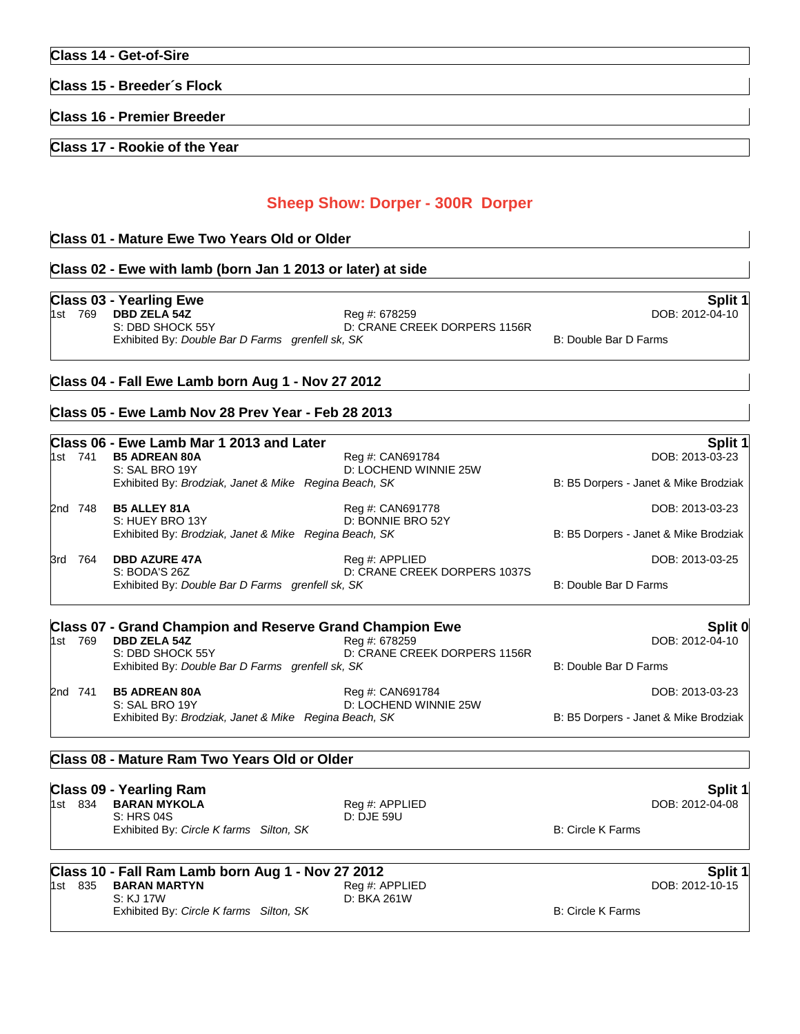### **Class 15 - Breeder´s Flock**

**Class 16 - Premier Breeder**

**Class 17 - Rookie of the Year**

# **Sheep Show: Dorper - 300R Dorper**

### **Class 01 - Mature Ewe Two Years Old or Older**

### **Class 02 - Ewe with lamb (born Jan 1 2013 or later) at side**

**Class 03 - Yearling Ewe Split 1** 1st 769 **DBD ZELA 54Z** S: DBD SHOCK 55Y D: CRANE CREEK DORPERS 1156R Exhibited By: *Double Bar D Farms grenfell sk, SK* B: Double Bar D Farms **B:** Double Bar D Farms

### **Class 04 - Fall Ewe Lamb born Aug 1 - Nov 27 2012**

## **Class 05 - Ewe Lamb Nov 28 Prev Year - Feb 28 2013**

|       |         | Class 06 - Ewe Lamb Mar 1 2013 and Later                                                             |                                           | Split 1                               |
|-------|---------|------------------------------------------------------------------------------------------------------|-------------------------------------------|---------------------------------------|
|       | 1st 741 | <b>B5 ADREAN 80A</b><br>S: SAL BRO 19Y                                                               | Reg #: CAN691784<br>D: LOCHEND WINNIE 25W | DOB: 2013-03-23                       |
|       |         | Exhibited By: Brodziak, Janet & Mike Regina Beach, SK                                                |                                           | B: B5 Dorpers - Janet & Mike Brodziak |
|       | 2nd 748 | <b>B5 ALLEY 81A</b><br>S: HUEY BRO 13Y                                                               | Reg #: CAN691778<br>D: BONNIE BRO 52Y     | DOB: 2013-03-23                       |
|       |         | Exhibited By: Brodziak, Janet & Mike Regina Beach, SK                                                |                                           | B: B5 Dorpers - Janet & Mike Brodziak |
| 3rd   | 764     | <b>DBD AZURE 47A</b>                                                                                 | Reg #: APPLIED                            | DOB: 2013-03-25                       |
|       |         | D: CRANE CREEK DORPERS 1037S<br>S: BODA'S 26Z<br>Exhibited By: Double Bar D Farms grenfell sk, SK    |                                           | B: Double Bar D Farms                 |
|       |         | <b>Class 07 - Grand Champion and Reserve Grand Champion Ewe</b>                                      |                                           | Split 0                               |
| 1st l | 769     | <b>DBD ZELA 54Z</b>                                                                                  | Reg #: 678259                             | DOB: 2012-04-10                       |
|       |         | D: CRANE CREEK DORPERS 1156R<br>S: DBD SHOCK 55Y<br>Exhibited By: Double Bar D Farms grenfell sk, SK |                                           | B: Double Bar D Farms                 |
|       | 2nd 741 | <b>B5 ADREAN 80A</b>                                                                                 | Reg #: CAN691784                          | DOB: 2013-03-23                       |
|       |         | S: SAL BRO 19Y<br>Exhibited By: Brodziak, Janet & Mike Regina Beach, SK                              | D: LOCHEND WINNIE 25W                     | B: B5 Dorpers - Janet & Mike Brodziak |
|       |         |                                                                                                      |                                           |                                       |

### **Class 08 - Mature Ram Two Years Old or Older**

|         | <b>Class 09 - Yearling Ram</b>          |                | Split 1           |  |
|---------|-----------------------------------------|----------------|-------------------|--|
| 1st 834 | BARAN MYKOLA                            | Reg #: APPLIED | DOB: 2012-04-08   |  |
|         | S: HRS 04S                              | D: DJE 59U     |                   |  |
|         | Exhibited By: Circle K farms Silton, SK |                | B: Circle K Farms |  |

**Class 10 - Fall Ram Lamb born Aug 1 - Nov 27 2012 Split 1**

1st 835 **BARAN MARTYN** Reg #: APPLIED DOB: 2012-10-15 S: KJ 17W D: BKA 261W Exhibited By: *Circle K farms Silton, SK* B: Circle K Farms B: Circle K Farms B: Circle K Farms B: Circle K Farms B: Circle K Farms B: Circle K Farms B: Circle K Farms B: Circle K Farms B: Circle K Farms B: Circle K Farms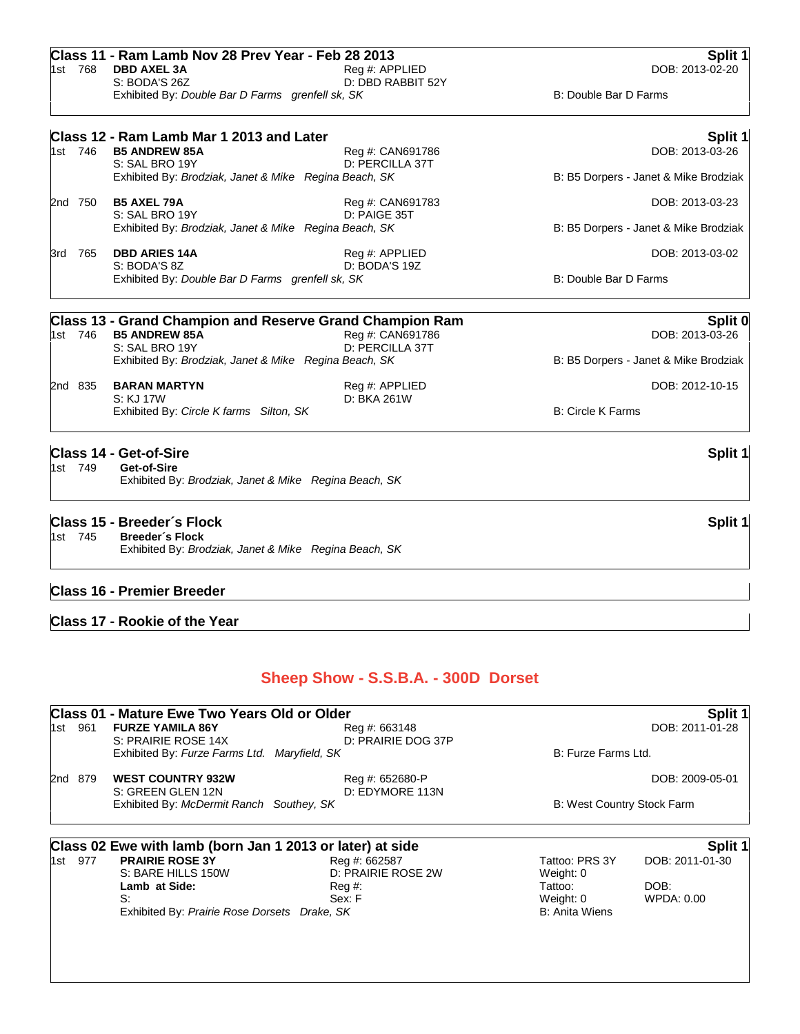| 1st 746 | Class 12 - Ram Lamb Mar 1 2013 and Later<br><b>B5 ANDREW 85A</b><br>S: SAL BRO 19Y<br>Exhibited By: Brodziak, Janet & Mike Regina Beach, SK                                      | Reg #: CAN691786<br>D: PERCILLA 37T                     |                                                                              | Split 1<br>DOB: 2013-03-26<br>B: B5 Dorpers - Janet & Mike Brodziak |
|---------|----------------------------------------------------------------------------------------------------------------------------------------------------------------------------------|---------------------------------------------------------|------------------------------------------------------------------------------|---------------------------------------------------------------------|
| 2nd 750 | <b>B5 AXEL 79A</b><br>S: SAL BRO 19Y<br>Exhibited By: Brodziak, Janet & Mike Regina Beach, SK                                                                                    | Reg #: CAN691783<br>D: PAIGE 35T                        |                                                                              | DOB: 2013-03-23<br>B: B5 Dorpers - Janet & Mike Brodziak            |
|         | <b>DBD ARIES 14A</b>                                                                                                                                                             |                                                         |                                                                              |                                                                     |
| 3rd 765 | S: BODA'S 8Z<br>Exhibited By: Double Bar D Farms grenfell sk, SK                                                                                                                 | Reg #: APPLIED<br>D: BODA'S 19Z                         | B: Double Bar D Farms                                                        | DOB: 2013-03-02                                                     |
|         | <b>Class 13 - Grand Champion and Reserve Grand Champion Ram</b>                                                                                                                  |                                                         |                                                                              | Split 0                                                             |
| 1st 746 | <b>B5 ANDREW 85A</b><br>S: SAL BRO 19Y<br>Exhibited By: Brodziak, Janet & Mike Regina Beach, SK                                                                                  | Reg #: CAN691786<br>D: PERCILLA 37T                     |                                                                              | DOB: 2013-03-26<br>B: B5 Dorpers - Janet & Mike Brodziak            |
| 2nd 835 | <b>BARAN MARTYN</b>                                                                                                                                                              | Reg #: APPLIED                                          |                                                                              | DOB: 2012-10-15                                                     |
|         | S: KJ 17W<br>Exhibited By: Circle K farms Silton, SK                                                                                                                             | D: BKA 261W                                             | <b>B: Circle K Farms</b>                                                     |                                                                     |
| 1st 749 | <b>Class 14 - Get-of-Sire</b><br>Get-of-Sire<br>Exhibited By: Brodziak, Janet & Mike Regina Beach, SK                                                                            |                                                         |                                                                              | Split 1                                                             |
| 1st 745 | <b>Breeder's Flock</b><br>Exhibited By: Brodziak, Janet & Mike Regina Beach, SK<br><b>Class 16 - Premier Breeder</b>                                                             |                                                         |                                                                              |                                                                     |
|         | <b>Class 17 - Rookie of the Year</b>                                                                                                                                             | Sheep Show - S.S.B.A. - 300D Dorset                     |                                                                              |                                                                     |
|         | Class 01 - Mature Ewe Two Years Old or Older                                                                                                                                     |                                                         |                                                                              |                                                                     |
| 1st 961 | <b>FURZE YAMILA 86Y</b>                                                                                                                                                          | Reg #: 663148                                           |                                                                              | Split 1<br>DOB: 2011-01-28                                          |
|         | S: PRAIRIE ROSE 14X<br>Exhibited By: Furze Farms Ltd. Maryfield, SK                                                                                                              | D: PRAIRIE DOG 37P                                      | B: Furze Farms Ltd.                                                          |                                                                     |
| 2nd 879 | <b>WEST COUNTRY 932W</b><br>S: GREEN GLEN 12N                                                                                                                                    | Reg #: 652680-P<br>D: EDYMORE 113N                      |                                                                              | DOB: 2009-05-01                                                     |
|         | Exhibited By: McDermit Ranch Southey, SK                                                                                                                                         |                                                         | B: West Country Stock Farm                                                   |                                                                     |
| 1st 977 | Class 02 Ewe with lamb (born Jan 1 2013 or later) at side<br><b>PRAIRIE ROSE 3Y</b><br>S: BARE HILLS 150W<br>Lamb at Side:<br>S:<br>Exhibited By: Prairie Rose Dorsets Drake, SK | Reg #: 662587<br>D: PRAIRIE ROSE 2W<br>Reg #:<br>Sex: F | Tattoo: PRS 3Y<br>Weight: 0<br>Tattoo:<br>Weight: 0<br><b>B: Anita Wiens</b> | Split 1<br>DOB: 2011-01-30<br>DOB:<br><b>WPDA: 0.00</b>             |
|         |                                                                                                                                                                                  |                                                         |                                                                              |                                                                     |

1st 768 **DBD AXEL 3A** Reg #: APPLIED DOB: 2013-02-20 S: BODA'S 26Z D: DBD RABBIT 52Y Exhibited By: *Double Bar D Farms grenfell sk, SK* B: Double Bar D Farms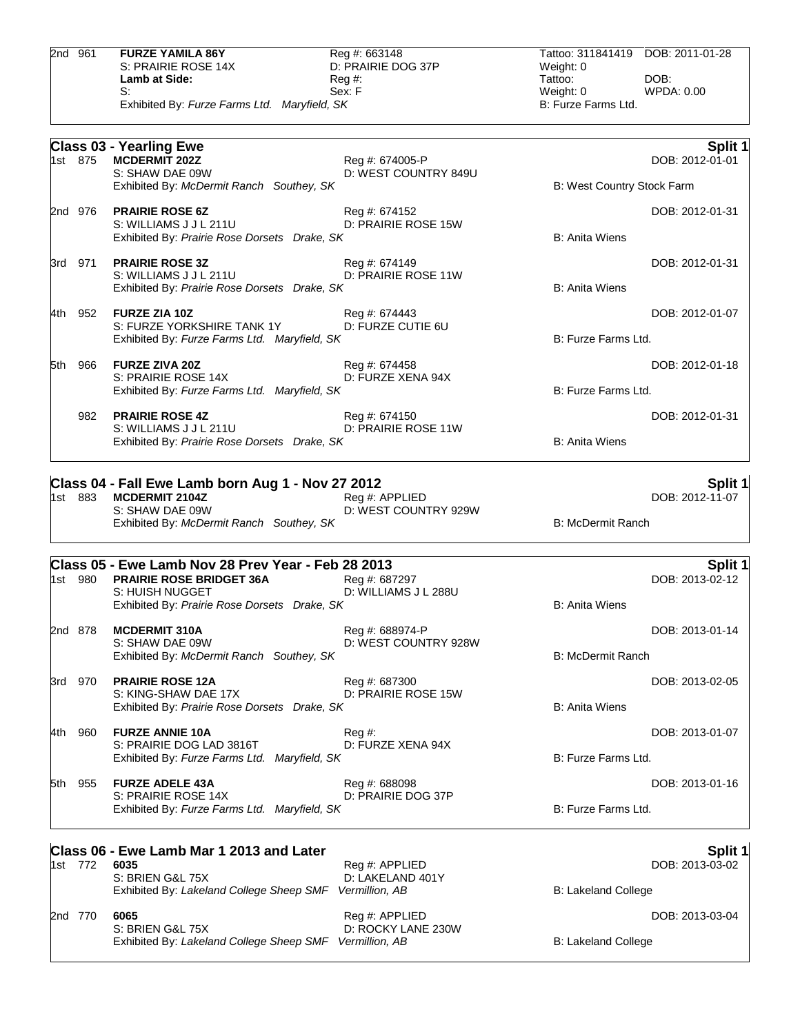|       | 2nd 961 | <b>FURZE YAMILA 86Y</b><br>S: PRAIRIE ROSE 14X<br>Lamb at Side:<br>S:<br>Exhibited By: Furze Farms Ltd. Maryfield, SK                                    | Reg #: 663148<br>D: PRAIRIE DOG 37P<br>$Reg#$ :<br>Sex: F | Tattoo: 311841419<br>Weight: 0<br>Tattoo:<br>Weight: 0<br>B: Furze Farms Ltd. | DOB: 2011-01-28<br>DOB:<br>WPDA: 0.00 |
|-------|---------|----------------------------------------------------------------------------------------------------------------------------------------------------------|-----------------------------------------------------------|-------------------------------------------------------------------------------|---------------------------------------|
|       |         |                                                                                                                                                          |                                                           |                                                                               |                                       |
|       | 1st 875 | <b>Class 03 - Yearling Ewe</b><br><b>MCDERMIT 202Z</b><br>S: SHAW DAE 09W                                                                                | Reg #: 674005-P<br>D: WEST COUNTRY 849U                   |                                                                               | Split 1<br>DOB: 2012-01-01            |
|       |         | Exhibited By: McDermit Ranch Southey, SK                                                                                                                 |                                                           | B: West Country Stock Farm                                                    |                                       |
|       | 2nd 976 | <b>PRAIRIE ROSE 6Z</b><br>S: WILLIAMS J J L 211U<br>Exhibited By: Prairie Rose Dorsets Drake, SK                                                         | Reg #: 674152<br>D: PRAIRIE ROSE 15W                      | <b>B: Anita Wiens</b>                                                         | DOB: 2012-01-31                       |
|       | 3rd 971 | <b>PRAIRIE ROSE 3Z</b><br>S: WILLIAMS J J L 211U<br>Exhibited By: Prairie Rose Dorsets Drake, SK                                                         | Reg #: 674149<br>D: PRAIRIE ROSE 11W                      | <b>B: Anita Wiens</b>                                                         | DOB: 2012-01-31                       |
| 4th   | 952     | <b>FURZE ZIA 10Z</b><br>S: FURZE YORKSHIRE TANK 1Y<br>Exhibited By: Furze Farms Ltd. Maryfield, SK                                                       | Reg #: 674443<br>D: FURZE CUTIE 6U                        | B: Furze Farms Ltd.                                                           | DOB: 2012-01-07                       |
| 5th   | 966     | <b>FURZE ZIVA 20Z</b>                                                                                                                                    | Reg #: 674458                                             |                                                                               | DOB: 2012-01-18                       |
|       |         | S: PRAIRIE ROSE 14X<br>Exhibited By: Furze Farms Ltd. Maryfield, SK                                                                                      | D: FURZE XENA 94X                                         | B: Furze Farms Ltd.                                                           |                                       |
|       | 982     | <b>PRAIRIE ROSE 4Z</b><br>S: WILLIAMS J J L 211U                                                                                                         | Reg #: 674150<br>D: PRAIRIE ROSE 11W                      |                                                                               | DOB: 2012-01-31                       |
|       |         | Exhibited By: Prairie Rose Dorsets Drake, SK                                                                                                             |                                                           | <b>B: Anita Wiens</b>                                                         |                                       |
|       |         | Class 04 - Fall Ewe Lamb born Aug 1 - Nov 27 2012                                                                                                        |                                                           |                                                                               | <b>Split 1</b>                        |
|       | 1st 883 | <b>MCDERMIT 2104Z</b><br>S: SHAW DAE 09W<br>Exhibited By: McDermit Ranch Southey, SK                                                                     | Reg #: APPLIED<br>D: WEST COUNTRY 929W                    | <b>B: McDermit Ranch</b>                                                      | DOB: 2012-11-07                       |
|       |         |                                                                                                                                                          |                                                           |                                                                               |                                       |
|       | 1st 980 | Class 05 - Ewe Lamb Nov 28 Prev Year - Feb 28 2013<br><b>PRAIRIE ROSE BRIDGET 36A</b><br>S: HUISH NUGGET<br>Exhibited By: Prairie Rose Dorsets Drake, SK | Reg #: 687297<br>D: WILLIAMS J L 288U                     | <b>B: Anita Wiens</b>                                                         | Split 1<br>DOB: 2013-02-12            |
|       | 2nd 878 | <b>MCDERMIT 310A</b>                                                                                                                                     | Reg #: 688974-P                                           |                                                                               | DOB: 2013-01-14                       |
|       |         | S: SHAW DAE 09W<br>Exhibited By: McDermit Ranch Southey, SK                                                                                              | D: WEST COUNTRY 928W                                      | <b>B: McDermit Ranch</b>                                                      |                                       |
| 3rd - | 970     | <b>PRAIRIE ROSE 12A</b>                                                                                                                                  | Reg #: 687300                                             |                                                                               | DOB: 2013-02-05                       |
|       |         | S: KING-SHAW DAE 17X<br>Exhibited By: Prairie Rose Dorsets Drake, SK                                                                                     | D: PRAIRIE ROSE 15W                                       | <b>B: Anita Wiens</b>                                                         |                                       |
| 4th   | 960     | <b>FURZE ANNIE 10A</b>                                                                                                                                   | Reg #:                                                    |                                                                               | DOB: 2013-01-07                       |
|       |         | S: PRAIRIE DOG LAD 3816T<br>Exhibited By: Furze Farms Ltd. Maryfield, SK                                                                                 | D: FURZE XENA 94X                                         | B: Furze Farms Ltd.                                                           |                                       |
| 5th   | 955     | <b>FURZE ADELE 43A</b><br>S: PRAIRIE ROSE 14X                                                                                                            | Reg #: 688098<br>D: PRAIRIE DOG 37P                       | B: Furze Farms Ltd.                                                           | DOB: 2013-01-16                       |
|       |         | Exhibited By: Furze Farms Ltd. Maryfield, SK                                                                                                             |                                                           |                                                                               |                                       |
|       |         | Class 06 - Ewe Lamb Mar 1 2013 and Later                                                                                                                 |                                                           |                                                                               | <b>Split 1</b>                        |
|       | 1st 772 | 6035<br>S: BRIEN G&L 75X<br>Exhibited By: Lakeland College Sheep SMF                                                                                     | Reg #: APPLIED<br>D: LAKELAND 401Y<br>Vermillion, AB      | B: Lakeland College                                                           | DOB: 2013-03-02                       |
|       | 2nd 770 | 6065<br>S: BRIEN G&L 75X                                                                                                                                 | Reg #: APPLIED<br>D: ROCKY LANE 230W                      |                                                                               | DOB: 2013-03-04                       |

Exhibited By: *Lakeland College Sheep SMF Vermillion, AB* B: Lakeland College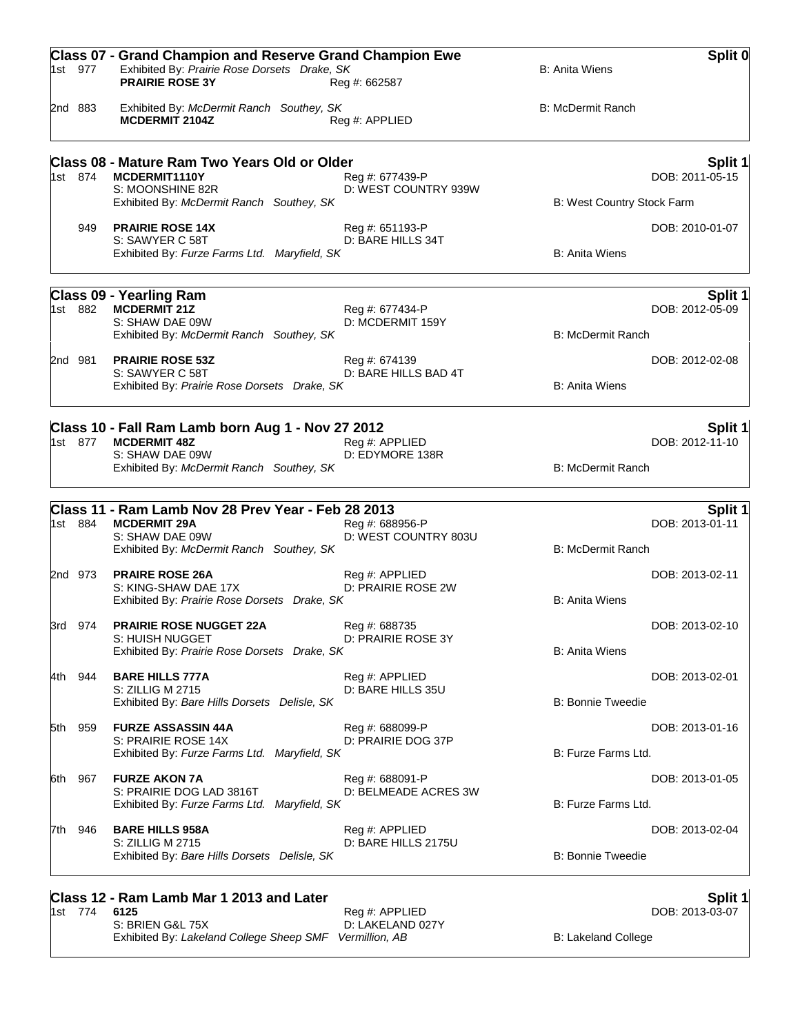|       | 1st 977 | <b>Class 07 - Grand Champion and Reserve Grand Champion Ewe</b><br>Exhibited By: Prairie Rose Dorsets Drake, SK<br><b>PRAIRIE ROSE 3Y</b> | Reg #: 662587                           | <b>B: Anita Wiens</b>      | Split 0         |
|-------|---------|-------------------------------------------------------------------------------------------------------------------------------------------|-----------------------------------------|----------------------------|-----------------|
|       | 2nd 883 | Exhibited By: McDermit Ranch Southey, SK<br><b>MCDERMIT 2104Z</b>                                                                         | Reg #: APPLIED                          | <b>B: McDermit Ranch</b>   |                 |
|       |         | Class 08 - Mature Ram Two Years Old or Older                                                                                              |                                         |                            | Split 1         |
|       | 1st 874 | MCDERMIT1110Y<br>S: MOONSHINE 82R                                                                                                         | Reg #: 677439-P<br>D: WEST COUNTRY 939W |                            | DOB: 2011-05-15 |
|       |         | Exhibited By: McDermit Ranch Southey, SK                                                                                                  |                                         | B: West Country Stock Farm |                 |
|       | 949     | <b>PRAIRIE ROSE 14X</b>                                                                                                                   | Reg #: 651193-P                         |                            | DOB: 2010-01-07 |
|       |         | S: SAWYER C 58T<br>Exhibited By: Furze Farms Ltd. Maryfield, SK                                                                           | D: BARE HILLS 34T                       | <b>B: Anita Wiens</b>      |                 |
|       |         | <b>Class 09 - Yearling Ram</b>                                                                                                            |                                         |                            | Split 1         |
|       | 1st 882 | <b>MCDERMIT 21Z</b><br>S: SHAW DAE 09W                                                                                                    | Reg #: 677434-P<br>D: MCDERMIT 159Y     |                            | DOB: 2012-05-09 |
|       |         | Exhibited By: McDermit Ranch Southey, SK                                                                                                  |                                         | <b>B: McDermit Ranch</b>   |                 |
|       | 2nd 981 | <b>PRAIRIE ROSE 53Z</b>                                                                                                                   | Reg #: 674139                           |                            | DOB: 2012-02-08 |
|       |         | S: SAWYER C 58T                                                                                                                           | D: BARE HILLS BAD 4T                    |                            |                 |
|       |         | Exhibited By: Prairie Rose Dorsets Drake, SK                                                                                              |                                         | <b>B: Anita Wiens</b>      |                 |
|       |         | Class 10 - Fall Ram Lamb born Aug 1 - Nov 27 2012                                                                                         |                                         |                            | Split 1         |
|       | 1st 877 | <b>MCDERMIT 48Z</b>                                                                                                                       | Reg #: APPLIED                          |                            | DOB: 2012-11-10 |
|       |         | S: SHAW DAE 09W<br>Exhibited By: McDermit Ranch Southey, SK                                                                               | D: EDYMORE 138R                         | <b>B: McDermit Ranch</b>   |                 |
|       |         |                                                                                                                                           |                                         |                            |                 |
|       |         | Class 11 - Ram Lamb Nov 28 Prev Year - Feb 28 2013                                                                                        |                                         |                            | Split 1         |
|       | 1st 884 | <b>MCDERMIT 29A</b><br>S: SHAW DAE 09W                                                                                                    | Reg #: 688956-P<br>D: WEST COUNTRY 803U |                            | DOB: 2013-01-11 |
|       |         | Exhibited By: McDermit Ranch Southey, SK                                                                                                  |                                         | <b>B: McDermit Ranch</b>   |                 |
|       | 2nd 973 | <b>PRAIRE ROSE 26A</b>                                                                                                                    | Reg #: APPLIED                          |                            | DOB: 2013-02-11 |
|       |         | S: KING-SHAW DAE 17X                                                                                                                      | D: PRAIRIE ROSE 2W                      |                            |                 |
|       |         | Exhibited By: Prairie Rose Dorsets Drake, SK                                                                                              |                                         | <b>B: Anita Wiens</b>      |                 |
|       | 3rd 974 | <b>PRAIRIE ROSE NUGGET 22A</b><br>S: HUISH NUGGET                                                                                         | Reg #: 688735<br>D: PRAIRIE ROSE 3Y     |                            | DOB: 2013-02-10 |
|       |         | Exhibited By: Prairie Rose Dorsets Drake, SK                                                                                              |                                         | <b>B: Anita Wiens</b>      |                 |
| 4th - | 944     | <b>BARE HILLS 777A</b>                                                                                                                    | Reg #: APPLIED                          |                            | DOB: 2013-02-01 |
|       |         | S: ZILLIG M 2715                                                                                                                          | D: BARE HILLS 35U                       |                            |                 |
|       |         | Exhibited By: Bare Hills Dorsets Delisle, SK                                                                                              |                                         | <b>B: Bonnie Tweedie</b>   |                 |
| 5th   | 959     | <b>FURZE ASSASSIN 44A</b>                                                                                                                 | Reg #: 688099-P                         |                            | DOB: 2013-01-16 |
|       |         | S: PRAIRIE ROSE 14X<br>Exhibited By: Furze Farms Ltd. Maryfield, SK                                                                       | D: PRAIRIE DOG 37P                      | B: Furze Farms Ltd.        |                 |
|       |         | <b>FURZE AKON 7A</b>                                                                                                                      |                                         |                            |                 |
| 6th.  | 967     | S: PRAIRIE DOG LAD 3816T                                                                                                                  | Reg #: 688091-P<br>D: BELMEADE ACRES 3W |                            | DOB: 2013-01-05 |
|       |         | Exhibited By: Furze Farms Ltd. Maryfield, SK                                                                                              |                                         | B: Furze Farms Ltd.        |                 |
| 7th.  | 946     | <b>BARE HILLS 958A</b>                                                                                                                    | Reg #: APPLIED                          |                            | DOB: 2013-02-04 |
|       |         | S: ZILLIG M 2715                                                                                                                          | D: BARE HILLS 2175U                     | <b>B: Bonnie Tweedie</b>   |                 |
|       |         | Exhibited By: Bare Hills Dorsets Delisle, SK                                                                                              |                                         |                            |                 |
|       |         | Class 12 - Ram Lamb Mar 1 2013 and Later                                                                                                  |                                         |                            | Split 1         |
|       | 1st 774 | 6125                                                                                                                                      | Reg #: APPLIED                          |                            | DOB: 2013-03-07 |

S: BRIEN G&L 75X D: LAKELAND 027Y

Exhibited By: *Lakeland College Sheep SMF Vermillion, AB* B: Lakeland College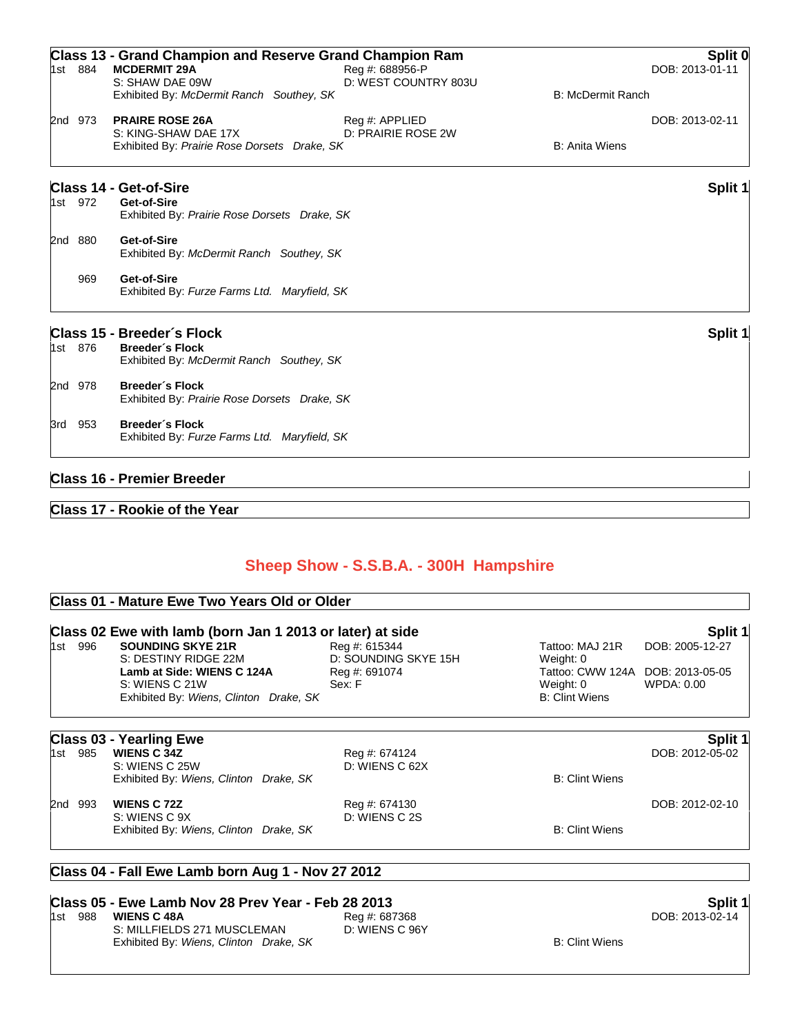| 1st 884 | <b>Class 13 - Grand Champion and Reserve Grand Champion Ram</b><br><b>MCDERMIT 29A</b><br>S: SHAW DAE 09W<br>Exhibited By: McDermit Ranch Southey, SK | Reg #: 688956-P<br>D: WEST COUNTRY 803U | <b>B: McDermit Ranch</b> | Split 0<br>DOB: 2013-01-11 |
|---------|-------------------------------------------------------------------------------------------------------------------------------------------------------|-----------------------------------------|--------------------------|----------------------------|
| 2nd 973 | <b>PRAIRE ROSE 26A</b><br>S: KING-SHAW DAE 17X<br>Exhibited By: Prairie Rose Dorsets Drake, SK                                                        | Reg #: APPLIED<br>D: PRAIRIE ROSE 2W    | <b>B: Anita Wiens</b>    | DOB: 2013-02-11            |
| 1st 972 | <b>Class 14 - Get-of-Sire</b><br>Get-of-Sire<br>Exhibited By: Prairie Rose Dorsets Drake, SK                                                          |                                         |                          | Split 1                    |
| 2nd 880 | Get-of-Sire<br>Exhibited By: McDermit Ranch Southey, SK                                                                                               |                                         |                          |                            |
| 969     | Get-of-Sire<br>Exhibited By: Furze Farms Ltd. Maryfield, SK                                                                                           |                                         |                          |                            |
| 1st 876 | Class 15 - Breeder's Flock<br><b>Breeder's Flock</b>                                                                                                  |                                         |                          | Split 1                    |
|         | Exhibited By: McDermit Ranch Southey, SK                                                                                                              |                                         |                          |                            |
| 2nd 978 | <b>Breeder's Flock</b><br>Exhibited By: Prairie Rose Dorsets Drake, SK                                                                                |                                         |                          |                            |
| 3rd 953 | <b>Breeder's Flock</b><br>Exhibited By: Furze Farms Ltd. Maryfield, SK                                                                                |                                         |                          |                            |
|         | <b>Class 16 - Premier Breeder</b>                                                                                                                     |                                         |                          |                            |

# **Class 17 - Rookie of the Year**

# **Sheep Show - S.S.B.A. - 300H Hampshire**

|            | Class 01 - Mature Ewe Two Years Old or Older<br>Class 02 Ewe with lamb (born Jan 1 2013 or later) at side<br>Split 1 |                                 |                               |                               |  |  |
|------------|----------------------------------------------------------------------------------------------------------------------|---------------------------------|-------------------------------|-------------------------------|--|--|
|            |                                                                                                                      |                                 |                               |                               |  |  |
| 996<br>1st | <b>SOUNDING SKYE 21R</b>                                                                                             | Reg #: 615344                   | Tattoo: MAJ 21R               | DOB: 2005-12-27               |  |  |
|            | S: DESTINY RIDGE 22M                                                                                                 | D: SOUNDING SKYE 15H            | Weight: 0                     |                               |  |  |
|            | Lamb at Side: WIENS C 124A<br>S: WIENS C 21W                                                                         | Reg #: 691074<br>Sex: F         | Tattoo: CWW 124A<br>Weight: 0 | DOB: 2013-05-05<br>WPDA: 0.00 |  |  |
|            | Exhibited By: Wiens, Clinton Drake, SK                                                                               |                                 | <b>B: Clint Wiens</b>         |                               |  |  |
|            |                                                                                                                      |                                 |                               |                               |  |  |
|            | <b>Class 03 - Yearling Ewe</b><br><b>WIENS C 34Z</b>                                                                 |                                 |                               | Split 1<br>DOB: 2012-05-02    |  |  |
| 985<br>1st | S: WIENS C 25W                                                                                                       | Reg #: 674124<br>D: WIENS C 62X |                               |                               |  |  |
|            | Exhibited By: Wiens, Clinton Drake, SK                                                                               |                                 | <b>B: Clint Wiens</b>         |                               |  |  |
| 2nd 993    | <b>WIENS C 72Z</b>                                                                                                   | Reg #: 674130                   |                               | DOB: 2012-02-10               |  |  |
|            | S: WIENS C 9X                                                                                                        | D: WIENS C 2S                   |                               |                               |  |  |
|            | Exhibited By: Wiens, Clinton Drake, SK                                                                               |                                 | <b>B: Clint Wiens</b>         |                               |  |  |
|            |                                                                                                                      |                                 |                               |                               |  |  |
|            | Class 04 - Fall Ewe Lamb born Aug 1 - Nov 27 2012                                                                    |                                 |                               |                               |  |  |
|            |                                                                                                                      |                                 |                               |                               |  |  |

### **Class 05 - Ewe Lamb Nov 28 Prev Year - Feb 28 2013 Split 1**

### 1st 988 **WIENS C 48A** Reg #: 687368 DOB: 2013-02-14 S: MILLFIELDS 271 MUSCLEMAN D: WIENS C 96Y Exhibited By: Wiens, Clinton Drake, SK B: Clint Wiens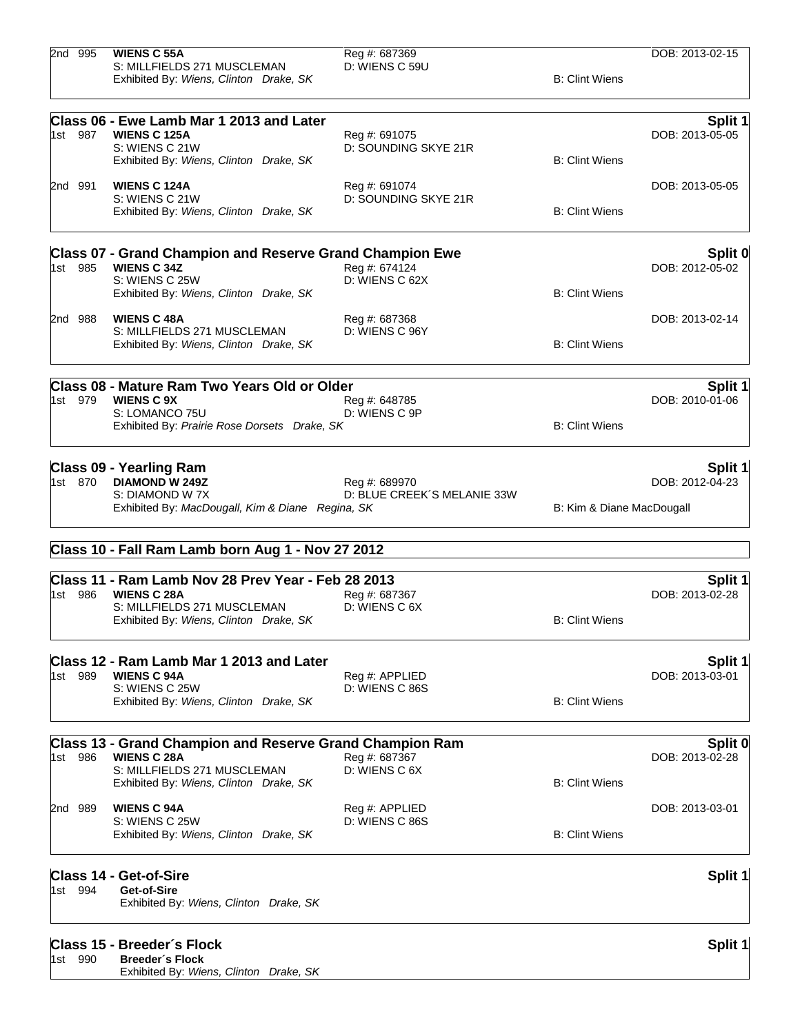| 2nd 995 | <b>WIENS C 55A</b><br>S: MILLFIELDS 271 MUSCLEMAN<br>Exhibited By: Wiens, Clinton Drake, SK                                 | Reg #: 687369<br>D: WIENS C 59U       | <b>B: Clint Wiens</b>     | DOB: 2013-02-15            |
|---------|-----------------------------------------------------------------------------------------------------------------------------|---------------------------------------|---------------------------|----------------------------|
|         |                                                                                                                             |                                       |                           |                            |
| 1st 987 | Class 06 - Ewe Lamb Mar 1 2013 and Later<br><b>WIENS C 125A</b><br>S: WIENS C 21W<br>Exhibited By: Wiens, Clinton Drake, SK | Reg #: 691075<br>D: SOUNDING SKYE 21R | <b>B: Clint Wiens</b>     | Split 1<br>DOB: 2013-05-05 |
| 2nd 991 | <b>WIENS C 124A</b>                                                                                                         | Reg #: 691074                         |                           | DOB: 2013-05-05            |
|         | S: WIENS C 21W<br>Exhibited By: Wiens, Clinton Drake, SK                                                                    | D: SOUNDING SKYE 21R                  | <b>B: Clint Wiens</b>     |                            |
|         | <b>Class 07 - Grand Champion and Reserve Grand Champion Ewe</b>                                                             |                                       |                           | Split 0                    |
| 1st 985 | <b>WIENS C 34Z</b><br>S: WIENS C 25W                                                                                        | Reg #: 674124<br>D: WIENS C 62X       |                           | DOB: 2012-05-02            |
|         | Exhibited By: Wiens, Clinton Drake, SK                                                                                      |                                       | <b>B: Clint Wiens</b>     |                            |
| 2nd 988 | <b>WIENS C 48A</b>                                                                                                          | Reg #: 687368                         |                           | DOB: 2013-02-14            |
|         | S: MILLFIELDS 271 MUSCLEMAN<br>Exhibited By: Wiens, Clinton Drake, SK                                                       | D: WIENS C 96Y                        | <b>B: Clint Wiens</b>     |                            |
|         |                                                                                                                             |                                       |                           |                            |
| 1st 979 | Class 08 - Mature Ram Two Years Old or Older<br><b>WIENS C 9X</b>                                                           | Reg #: 648785                         |                           | Split 1<br>DOB: 2010-01-06 |
|         | S: LOMANCO 75U<br>Exhibited By: Prairie Rose Dorsets Drake, SK                                                              | D: WIENS C 9P                         | <b>B: Clint Wiens</b>     |                            |
|         | <b>Class 09 - Yearling Ram</b>                                                                                              |                                       |                           | Split 1                    |
| 1st 870 | <b>DIAMOND W 249Z</b>                                                                                                       | Reg #: 689970                         |                           | DOB: 2012-04-23            |
|         | S: DIAMOND W 7X<br>Exhibited By: MacDougall, Kim & Diane Regina, SK                                                         | D: BLUE CREEK'S MELANIE 33W           | B: Kim & Diane MacDougall |                            |
|         | Class 10 - Fall Ram Lamb born Aug 1 - Nov 27 2012                                                                           |                                       |                           |                            |
|         | Class 11 - Ram Lamb Nov 28 Prev Year - Feb 28 2013                                                                          |                                       |                           | <b>Split 1</b>             |
| 1st 986 | <b>WIENS C 28A</b>                                                                                                          | Reg #: 687367                         |                           | DOB: 2013-02-28            |
|         | S: MILLFIELDS 271 MUSCLEMAN<br>Exhibited By: Wiens, Clinton Drake, SK                                                       | D: WIENS C 6X                         | <b>B: Clint Wiens</b>     |                            |
|         | Class 12 - Ram Lamb Mar 1 2013 and Later                                                                                    |                                       |                           | <b>Split 1</b>             |
| 1st 989 | <b>WIENS C 94A</b>                                                                                                          | Reg #: APPLIED                        |                           | DOB: 2013-03-01            |
|         | S: WIENS C 25W<br>Exhibited By: Wiens, Clinton Drake, SK                                                                    | D: WIENS C 86S                        | <b>B: Clint Wiens</b>     |                            |
|         | Class 13 - Grand Champion and Reserve Grand Champion Ram                                                                    |                                       |                           | Split 0                    |
| 1st 986 | <b>WIENS C 28A</b>                                                                                                          | Reg #: 687367                         |                           | DOB: 2013-02-28            |
|         | S: MILLFIELDS 271 MUSCLEMAN<br>Exhibited By: Wiens, Clinton Drake, SK                                                       | D: WIENS C 6X                         | <b>B: Clint Wiens</b>     |                            |
| 2nd 989 | <b>WIENS C 94A</b>                                                                                                          | Reg #: APPLIED                        |                           | DOB: 2013-03-01            |
|         | S: WIENS C 25W<br>Exhibited By: Wiens, Clinton Drake, SK                                                                    | D: WIENS C 86S                        | <b>B: Clint Wiens</b>     |                            |
|         | <b>Class 14 - Get-of-Sire</b>                                                                                               |                                       |                           | Split 1                    |
| 1st 994 | Get-of-Sire<br>Exhibited By: Wiens, Clinton Drake, SK                                                                       |                                       |                           |                            |
|         | Class 15 - Breeder's Flock                                                                                                  |                                       |                           | Split 1                    |
| 1st 990 | <b>Breeder's Flock</b>                                                                                                      |                                       |                           |                            |
|         | Exhibited By: Wiens, Clinton Drake, SK                                                                                      |                                       |                           |                            |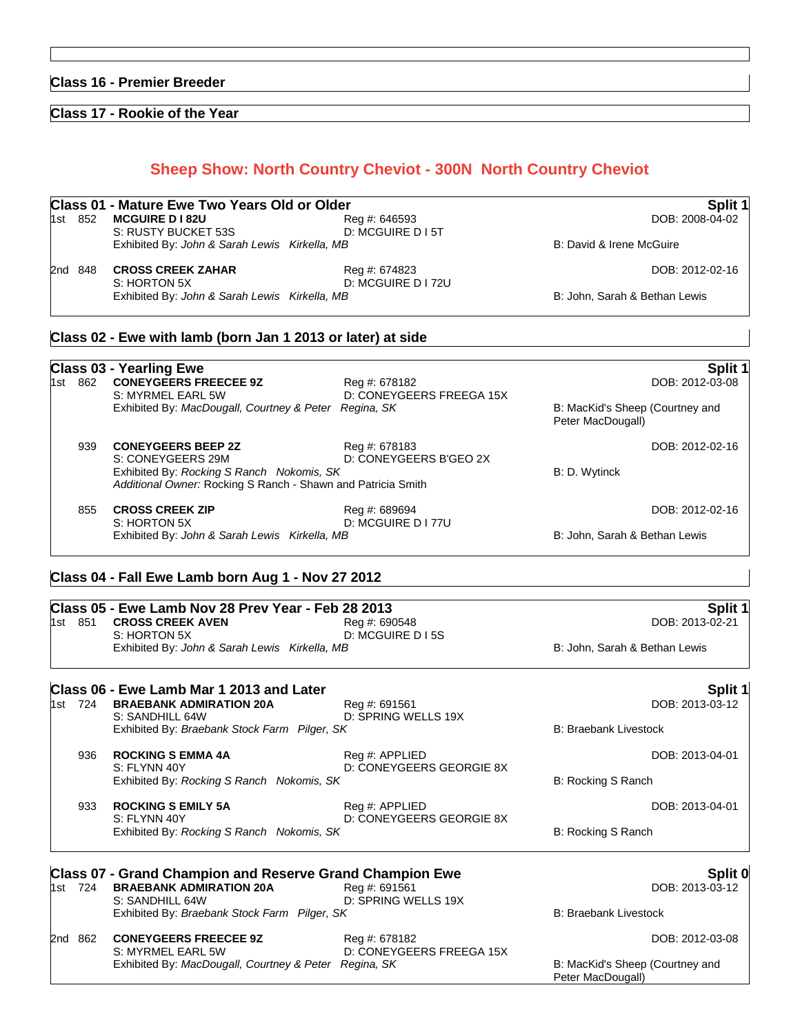# **Class 16 - Premier Breeder**

# **Class 17 - Rookie of the Year**

# **Sheep Show: North Country Cheviot - 300N North Country Cheviot**

|              | Class 01 - Mature Ewe Two Years Old or Older  | Split 1                             |                               |
|--------------|-----------------------------------------------|-------------------------------------|-------------------------------|
| 852<br>1st l | <b>MCGUIRE D I 82U</b><br>S: RUSTY BUCKET 53S | Reg #: 646593<br>D: MCGUIRE D I 5T  | DOB: 2008-04-02               |
|              | Exhibited By: John & Sarah Lewis Kirkella, MB |                                     | B: David & Irene McGuire      |
| 2nd 848      | <b>CROSS CREEK ZAHAR</b><br>S: HORTON 5X      | Reg #: 674823<br>D: MCGUIRE D I 72U | DOB: 2012-02-16               |
|              | Exhibited By: John & Sarah Lewis Kirkella, MB |                                     | B: John, Sarah & Bethan Lewis |

# **Class 02 - Ewe with lamb (born Jan 1 2013 or later) at side**

|         | <b>Class 03 - Yearling Ewe</b>                                                                            |                                           |                                                      | Split 1         |
|---------|-----------------------------------------------------------------------------------------------------------|-------------------------------------------|------------------------------------------------------|-----------------|
| 1st 862 | <b>CONEYGEERS FREECEE 9Z</b><br>S: MYRMEL EARL 5W                                                         | Reg #: 678182<br>D: CONEYGEERS FREEGA 15X |                                                      | DOB: 2012-03-08 |
|         | Exhibited By: MacDougall, Courtney & Peter Regina, SK                                                     |                                           | B: MacKid's Sheep (Courtney and<br>Peter MacDougall) |                 |
| 939     | <b>CONEYGEERS BEEP 2Z</b><br>S: CONEYGEERS 29M                                                            | Reg #: 678183<br>D: CONEYGEERS B'GEO 2X   |                                                      | DOB: 2012-02-16 |
|         | Exhibited By: Rocking S Ranch Nokomis, SK<br>Additional Owner: Rocking S Ranch - Shawn and Patricia Smith |                                           | B: D. Wytinck                                        |                 |
| 855     | <b>CROSS CREEK ZIP</b><br>S: HORTON 5X                                                                    | Reg #: 689694<br>D: MCGUIRE D I 77U       |                                                      | DOB: 2012-02-16 |
|         | Exhibited By: John & Sarah Lewis Kirkella, MB                                                             |                                           | B: John, Sarah & Bethan Lewis                        |                 |

# **Class 04 - Fall Ewe Lamb born Aug 1 - Nov 27 2012**

|       |     | Class 05 - Ewe Lamb Nov 28 Prev Year - Feb 28 2013              |                                            |                                                      | Split 1         |
|-------|-----|-----------------------------------------------------------------|--------------------------------------------|------------------------------------------------------|-----------------|
| 1st - | 851 | <b>CROSS CREEK AVEN</b><br>S: HORTON 5X                         | Reg #: 690548<br>D: MCGUIRE D I 5S         |                                                      | DOB: 2013-02-21 |
|       |     | Exhibited By: John & Sarah Lewis Kirkella, MB                   |                                            | B: John, Sarah & Bethan Lewis                        |                 |
|       |     | Class 06 - Ewe Lamb Mar 1 2013 and Later                        |                                            |                                                      | Split 1         |
| 1st - | 724 | <b>BRAEBANK ADMIRATION 20A</b><br>S: SANDHILL 64W               | Reg #: 691561<br>D: SPRING WELLS 19X       |                                                      | DOB: 2013-03-12 |
|       |     | Exhibited By: Braebank Stock Farm Pilger, SK                    |                                            | <b>B: Braebank Livestock</b>                         |                 |
|       | 936 | <b>ROCKING S EMMA 4A</b><br>S: FLYNN 40Y                        | Reg #: APPLIED<br>D: CONEYGEERS GEORGIE 8X |                                                      | DOB: 2013-04-01 |
|       |     | Exhibited By: Rocking S Ranch Nokomis, SK                       |                                            | B: Rocking S Ranch                                   |                 |
|       | 933 | <b>ROCKING S EMILY 5A</b><br>S: FLYNN 40Y                       | Reg #: APPLIED<br>D: CONEYGEERS GEORGIE 8X |                                                      | DOB: 2013-04-01 |
|       |     | Exhibited By: Rocking S Ranch Nokomis, SK                       |                                            | B: Rocking S Ranch                                   |                 |
|       |     | <b>Class 07 - Grand Champion and Reserve Grand Champion Ewe</b> |                                            |                                                      | Split 0         |
| 1st   | 724 | <b>BRAEBANK ADMIRATION 20A</b><br>S: SANDHILL 64W               | Reg #: 691561<br>D: SPRING WELLS 19X       |                                                      | DOB: 2013-03-12 |
|       |     | Exhibited By: Braebank Stock Farm Pilger, SK                    |                                            | <b>B: Braebank Livestock</b>                         |                 |
| l2nd  | 862 | <b>CONEYGEERS FREECEE 9Z</b><br>S: MYRMEL EARL 5W               | Reg #: 678182<br>D: CONEYGEERS FREEGA 15X  |                                                      | DOB: 2012-03-08 |
|       |     | Exhibited By: MacDougall, Courtney & Peter Regina, SK           |                                            | B: MacKid's Sheep (Courtney and<br>Peter MacDougall) |                 |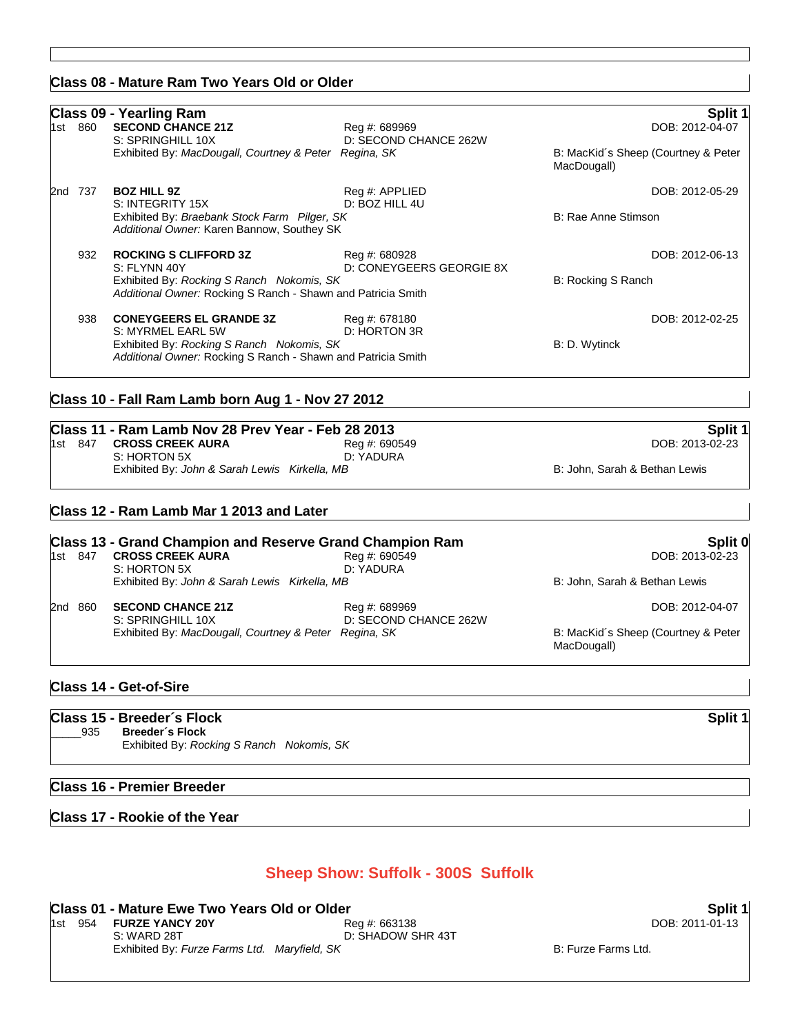### **Class 08 - Mature Ram Two Years Old or Older**

### **Class 09 - Yearling Ram Split 1 SECOND CHANCE 21Z** S: SPRINGHILL 10X D: SECOND CHANCE 262W Exhibited By: *MacDougall, Courtney & Peter Regina, SK* B: MacKid's Sheep (Courtney & Peter MacDougall) 2nd 737 **BOZ HILL 9Z** Reg #: APPLIED DOB: 2012-05-29 S: INTEGRITY 15X D: BOZ HILL 4U Exhibited By: *Braebank Stock Farm Pilger, SK* B: Rae Anne Stimson *Additional Owner:* Karen Bannow, Southey SK 932 **ROCKING S CLIFFORD 3Z** Reg #: 680928 Reg **ROCKING S CLIFFORD 3Z** Reg **A**: 680928 S: FLYNN 40Y D: CONEYGEERS GEORGIE 8X Exhibited By: *Rocking S Ranch Nokomis, SK* B: Rocking S Ranch Nokomis, SK *Additional Owner:* Rocking S Ranch - Shawn and Patricia Smith 938 **CONEYGEERS EL GRANDE 3Z** Reg #: 678180 Reg **Reg 2012-02-25** DOB: 2012-02-25 S: MYRMEL EARL 5W D: HORTON 3R Exhibited By: *Rocking S Ranch Nokomis, SK* B: D. Wytinck *Additional Owner:* Rocking S Ranch - Shawn and Patricia Smith

### **Class 10 - Fall Ram Lamb born Aug 1 - Nov 27 2012**

# **Class 11 - Ram Lamb Nov 28 Prev Year - Feb 28 2013 Split 1**

| 1st 847 | <b>CROSS CREEK AURA</b>                       | Reg #: 690549 | DOB: 2013-02-23               |
|---------|-----------------------------------------------|---------------|-------------------------------|
|         | S: HORTON 5X                                  | D: YADURA     |                               |
|         | Exhibited By: John & Sarah Lewis Kirkella, MB |               | B: John. Sarah & Bethan Lewis |

### **Class 12 - Ram Lamb Mar 1 2013 and Later**

### **Class 13 - Grand Champion and Reserve Grand Champion Ram Split 0** 1st 847 **CROSS CREEK AURA** Reg #: 690549 Reg #: 690549 Reg & DOB: 2013-02-23<br>S: HORTON 5X D: YADURA S: HORTON 5X Exhibited By: *John & Sarah Lewis Kirkella, MB* B: *John, Sarah & Bethan Lewis* 2nd 860 **SECOND CHANCE 21Z** Reg #: 689969 DOB: 2012-04-07 S: SPRINGHILL 10X D: SECOND CHANCE 262W Exhibited By: *MacDougall, Courtney & Peter Regina, SK* B: MacKid's Sheep (Courtney & Peter

### **Class 14 - Get-of-Sire**

|     | Class 15 - Breeder's Flock                                   | Split 1 |
|-----|--------------------------------------------------------------|---------|
| 935 | Breeder's Flock<br>Exhibited By: Rocking S Ranch Nokomis, SK |         |

### **Class 16 - Premier Breeder**

### **Class 17 - Rookie of the Year**

# **Sheep Show: Suffolk - 300S Suffolk**

### **Class 01 - Mature Ewe Two Years Old or Older Split 1 Split 1 Split 1 Split 1**

|             | Reg #: 663138                                                                                                                 |
|-------------|-------------------------------------------------------------------------------------------------------------------------------|
| S: WARD 28T | D: SHADOW SHR 43T                                                                                                             |
|             |                                                                                                                               |
|             | ושאוט וס אוט טואט ו טווי שווא ווי וי טושטאו<br>Ist 954 <b>FURZE YANCY 20Y</b><br>Exhibited By: Furze Farms Ltd. Maryfield, SK |

1st 954 **FURZE YANCY 20Y** Reg #: 663138 DOB: 2011-01-13

B: Furze Farms Ltd.

MacDougall)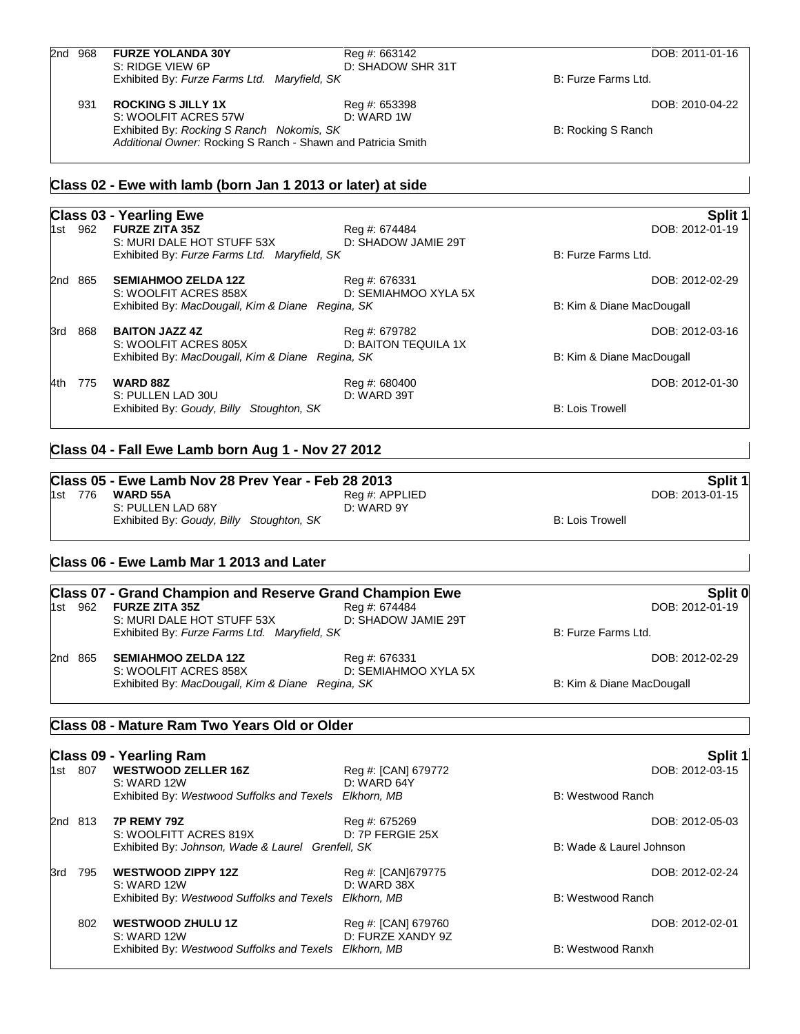| 2nd 968 | <b>FURZE YOLANDA 30Y</b>                                        | Reg #: 663142                               |                           | DOB: 2011-01-16   |
|---------|-----------------------------------------------------------------|---------------------------------------------|---------------------------|-------------------|
|         | S: RIDGE VIEW 6P                                                | D: SHADOW SHR 31T                           |                           |                   |
|         | Exhibited By: Furze Farms Ltd. Maryfield, SK                    |                                             | B: Furze Farms Ltd.       |                   |
| 931     | <b>ROCKING S JILLY 1X</b>                                       | Reg #: 653398                               |                           | DOB: 2010-04-22   |
|         | S: WOOLFIT ACRES 57W                                            | D: WARD 1W                                  |                           |                   |
|         | Exhibited By: Rocking S Ranch Nokomis, SK                       |                                             | B: Rocking S Ranch        |                   |
|         | Additional Owner: Rocking S Ranch - Shawn and Patricia Smith    |                                             |                           |                   |
|         | Class 02 - Ewe with lamb (born Jan 1 2013 or later) at side     |                                             |                           |                   |
|         | <b>Class 03 - Yearling Ewe</b>                                  |                                             |                           | Split 1           |
| 1st 962 | <b>FURZE ZITA 35Z</b>                                           | Reg #: 674484                               |                           | DOB: 2012-01-19   |
|         | S: MURI DALE HOT STUFF 53X                                      | D: SHADOW JAMIE 29T                         |                           |                   |
|         | Exhibited By: Furze Farms Ltd. Maryfield, SK                    |                                             | B: Furze Farms Ltd.       |                   |
| 2nd 865 | <b>SEMIAHMOO ZELDA 12Z</b>                                      | Reg #: 676331                               |                           | DOB: 2012-02-29   |
|         | S: WOOLFIT ACRES 858X                                           | D: SEMIAHMOO XYLA 5X                        |                           |                   |
|         | Exhibited By: MacDougall, Kim & Diane Regina, SK                |                                             | B: Kim & Diane MacDougall |                   |
| 3rd 868 | <b>BAITON JAZZ 4Z</b>                                           | Reg #: 679782                               |                           | DOB: 2012-03-16   |
|         | S: WOOLFIT ACRES 805X                                           | D: BAITON TEQUILA 1X                        |                           |                   |
|         | Exhibited By: MacDougall, Kim & Diane Regina, SK                |                                             | B: Kim & Diane MacDougall |                   |
| 4th 775 | <b>WARD 88Z</b>                                                 | Reg #: 680400                               |                           | DOB: 2012-01-30   |
|         | S: PULLEN LAD 30U                                               | D: WARD 39T                                 |                           |                   |
|         | Exhibited By: Goudy, Billy Stoughton, SK                        |                                             | <b>B: Lois Trowell</b>    |                   |
|         | Class 04 - Fall Ewe Lamb born Aug 1 - Nov 27 2012               |                                             |                           |                   |
|         | Class 05 - Ewe Lamb Nov 28 Prev Year - Feb 28 2013              |                                             |                           | Split 1           |
| 1st 776 | <b>WARD 55A</b>                                                 | Reg #: APPLIED                              |                           | DOB: 2013-01-15   |
|         | S: PULLEN LAD 68Y                                               | D: WARD 9Y                                  |                           |                   |
|         | Exhibited By: Goudy, Billy Stoughton, SK                        |                                             | <b>B: Lois Trowell</b>    |                   |
|         |                                                                 |                                             |                           |                   |
|         | Class 06 - Ewe Lamb Mar 1 2013 and Later                        |                                             |                           |                   |
|         | <b>Class 07 - Grand Champion and Reserve Grand Champion Ewe</b> |                                             |                           | Split 0           |
| 1st 962 | <b>FURZE ZITA 35Z</b>                                           | Reg #: 674484                               |                           | DOB: 2012-01-19   |
|         | S: MURI DALE HOT STUFF 53X                                      | D: SHADOW JAMIE 29T                         |                           |                   |
|         | Exhibited By: Furze Farms Ltd. Maryfield, SK                    |                                             | B: Furze Farms Ltd.       |                   |
| 2nd 865 | <b>SEMIAHMOO ZELDA 12Z</b>                                      | Reg #: 676331                               |                           | DOB: 2012-02-29   |
|         | S: WOOLFIT ACRES 858X                                           | D: SEMIAHMOO XYLA 5X                        |                           |                   |
|         | Exhibited By: MacDougall, Kim & Diane Regina, SK                |                                             | B: Kim & Diane MacDougall |                   |
|         | Class 08 - Mature Ram Two Years Old or Older                    |                                             |                           |                   |
|         | <b>Class 09 - Yearling Ram</b>                                  |                                             |                           | Split 1           |
|         | 1st 807 WESTWOOD 7FLLER 167                                     | $R_{\text{PQ}}$ #' $C_{\text{A}}$ NI 679772 |                           | $DOR: 2012-03-15$ |

|     | 1st 807 | <b>WESTWOOD ZELLER 16Z</b><br>S: WARD 12W              | Reg #: [CAN] 679772<br>D: WARD 64Y       | DOB: 2012-03-15          |  |
|-----|---------|--------------------------------------------------------|------------------------------------------|--------------------------|--|
|     |         | Exhibited By: Westwood Suffolks and Texels Elkhorn, MB |                                          | B: Westwood Ranch        |  |
|     | 2nd 813 | 7P REMY 79Z<br>S: WOOLFITT ACRES 819X                  | Reg #: 675269<br>D: 7P FERGIE 25X        | DOB: 2012-05-03          |  |
|     |         | Exhibited By: Johnson, Wade & Laurel Grenfell, SK      |                                          | B: Wade & Laurel Johnson |  |
| 3rd | 795     | <b>WESTWOOD ZIPPY 12Z</b><br>S: WARD 12W               | Reg #: [CAN]679775<br>D: WARD 38X        | DOB: 2012-02-24          |  |
|     |         | Exhibited By: Westwood Suffolks and Texels Elkhorn, MB |                                          | B: Westwood Ranch        |  |
|     | 802     | <b>WESTWOOD ZHULU 1Z</b><br>S: WARD 12W                | Reg #: [CAN] 679760<br>D: FURZE XANDY 9Z | DOB: 2012-02-01          |  |
|     |         | Exhibited By: Westwood Suffolks and Texels             | Elkhorn, MB                              | B: Westwood Ranxh        |  |